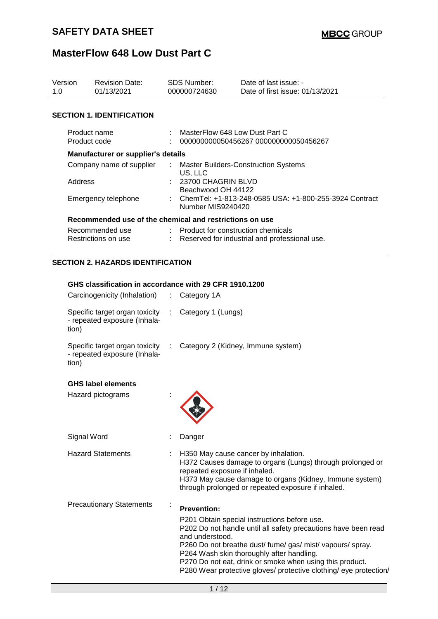| Version<br>1.0 |                              | <b>Revision Date:</b><br>01/13/2021                              |                             | <b>SDS Number:</b><br>000000724630                                          | Date of last issue: -<br>Date of first issue: 01/13/2021 |  |  |
|----------------|------------------------------|------------------------------------------------------------------|-----------------------------|-----------------------------------------------------------------------------|----------------------------------------------------------|--|--|
|                |                              | <b>SECTION 1. IDENTIFICATION</b>                                 |                             |                                                                             |                                                          |  |  |
|                | Product name<br>Product code |                                                                  |                             | MasterFlow 648 Low Dust Part C                                              | 000000000050456267 000000000050456267                    |  |  |
|                |                              | <b>Manufacturer or supplier's details</b>                        |                             |                                                                             |                                                          |  |  |
|                |                              | Company name of supplier                                         | ÷                           | US, LLC                                                                     | <b>Master Builders-Construction Systems</b>              |  |  |
|                | Address                      |                                                                  |                             | 23700 CHAGRIN BLVD<br>Beachwood OH 44122                                    |                                                          |  |  |
|                | Emergency telephone          |                                                                  |                             | ChemTel: +1-813-248-0585 USA: +1-800-255-3924 Contract<br>Number MIS9240420 |                                                          |  |  |
|                |                              | Recommended use of the chemical and restrictions on use          |                             |                                                                             |                                                          |  |  |
|                |                              | Recommended use<br>Restrictions on use                           |                             | : Product for construction chemicals                                        | Reserved for industrial and professional use.            |  |  |
|                |                              | <b>SECTION 2. HAZARDS IDENTIFICATION</b>                         |                             |                                                                             |                                                          |  |  |
|                |                              | GHS classification in accordance with 29 CFR 1910.1200           |                             |                                                                             |                                                          |  |  |
|                |                              | Carcinogenicity (Inhalation) :                                   |                             | Category 1A                                                                 |                                                          |  |  |
|                | tion)                        | Specific target organ toxicity :<br>- repeated exposure (Inhala- |                             | Category 1 (Lungs)                                                          |                                                          |  |  |
|                | tion)                        | Specific target organ toxicity<br>- repeated exposure (Inhala-   | $\mathcal{L}_{\mathcal{A}}$ |                                                                             | Category 2 (Kidney, Immune system)                       |  |  |

### **GHS label elements**

| Hazard pictograms               |                                                                                                                                                                                                                                                                                                                                                                                                |
|---------------------------------|------------------------------------------------------------------------------------------------------------------------------------------------------------------------------------------------------------------------------------------------------------------------------------------------------------------------------------------------------------------------------------------------|
| Signal Word                     | Danger                                                                                                                                                                                                                                                                                                                                                                                         |
| <b>Hazard Statements</b>        | H350 May cause cancer by inhalation.<br>H372 Causes damage to organs (Lungs) through prolonged or<br>repeated exposure if inhaled.<br>H373 May cause damage to organs (Kidney, Immune system)<br>through prolonged or repeated exposure if inhaled.                                                                                                                                            |
| <b>Precautionary Statements</b> | <b>Prevention:</b><br>P201 Obtain special instructions before use.<br>P202 Do not handle until all safety precautions have been read<br>and understood.<br>P260 Do not breathe dust/fume/gas/mist/vapours/spray.<br>P264 Wash skin thoroughly after handling.<br>P270 Do not eat, drink or smoke when using this product.<br>P280 Wear protective gloves/ protective clothing/ eye protection/ |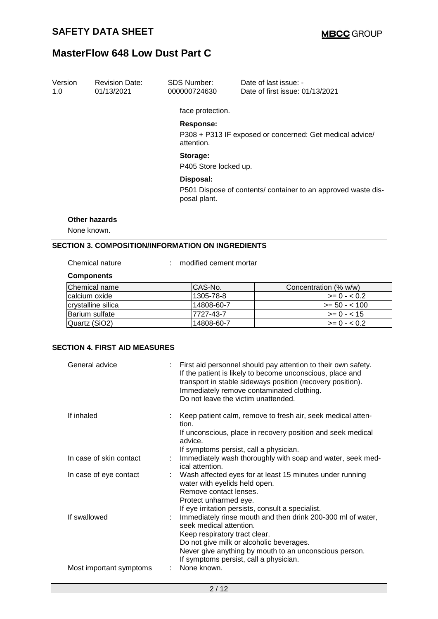| Version<br>1.0                                                          | <b>Revision Date:</b><br>01/13/2021 | SDS Number:<br>000000724630                                                                | Date of last issue: -<br>Date of first issue: 01/13/2021 |  |  |  |
|-------------------------------------------------------------------------|-------------------------------------|--------------------------------------------------------------------------------------------|----------------------------------------------------------|--|--|--|
|                                                                         |                                     | face protection.                                                                           |                                                          |  |  |  |
|                                                                         |                                     | <b>Response:</b><br>attention.                                                             | P308 + P313 IF exposed or concerned: Get medical advice/ |  |  |  |
|                                                                         |                                     | Storage:<br>P405 Store locked up.                                                          |                                                          |  |  |  |
|                                                                         |                                     | Disposal:<br>P501 Dispose of contents/ container to an approved waste dis-<br>posal plant. |                                                          |  |  |  |
|                                                                         | <b>Other hazards</b>                |                                                                                            |                                                          |  |  |  |
| None known.<br><b>SECTION 3. COMPOSITION/INFORMATION ON INGREDIENTS</b> |                                     |                                                                                            |                                                          |  |  |  |
|                                                                         | Chemical nature                     | modified cement mortar                                                                     |                                                          |  |  |  |

### **Components**

| Chemical name      | ICAS-No.    | Concentration (% w/w) |
|--------------------|-------------|-----------------------|
| Icalcium oxide     | 1305-78-8   | $>= 0 - 0.2$          |
| crystalline silica | l14808-60-7 | $>= 50 - 100$         |
| Barium sulfate     | 7727-43-7   | $>= 0 - < 15$         |
| Quartz (SiO2)      | 14808-60-7  | $>= 0 - 0.2$          |

### **SECTION 4. FIRST AID MEASURES**

| General advice          | : First aid personnel should pay attention to their own safety.<br>If the patient is likely to become unconscious, place and<br>transport in stable sideways position (recovery position).<br>Immediately remove contaminated clothing.<br>Do not leave the victim unattended. |
|-------------------------|--------------------------------------------------------------------------------------------------------------------------------------------------------------------------------------------------------------------------------------------------------------------------------|
| If inhaled              | : Keep patient calm, remove to fresh air, seek medical atten-<br>tion.<br>If unconscious, place in recovery position and seek medical                                                                                                                                          |
|                         | advice.<br>If symptoms persist, call a physician.                                                                                                                                                                                                                              |
| In case of skin contact | : Immediately wash thoroughly with soap and water, seek med-<br>ical attention.                                                                                                                                                                                                |
| In case of eye contact  | Wash affected eyes for at least 15 minutes under running<br>water with eyelids held open.                                                                                                                                                                                      |
|                         | Remove contact lenses.<br>Protect unharmed eye.                                                                                                                                                                                                                                |
|                         | If eye irritation persists, consult a specialist.                                                                                                                                                                                                                              |
| If swallowed            | Immediately rinse mouth and then drink 200-300 ml of water,<br>seek medical attention.                                                                                                                                                                                         |
|                         | Keep respiratory tract clear.                                                                                                                                                                                                                                                  |
|                         | Do not give milk or alcoholic beverages.                                                                                                                                                                                                                                       |
|                         | Never give anything by mouth to an unconscious person.<br>If symptoms persist, call a physician.                                                                                                                                                                               |
| Most important symptoms | None known.                                                                                                                                                                                                                                                                    |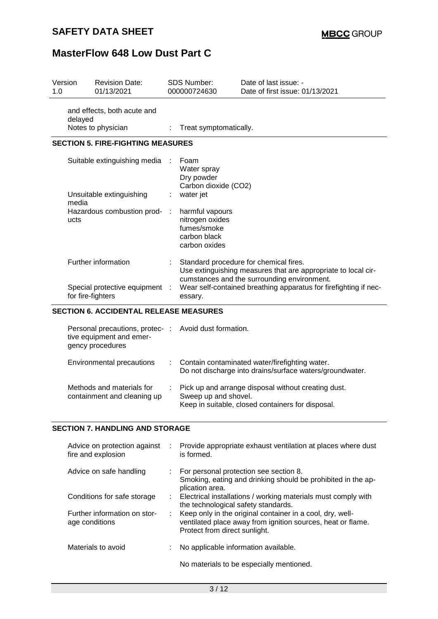### **SAFETY DATA SHEET**

## **MasterFlow 648 Low Dust Part C**

| Version<br>1.0 |                   | <b>Revision Date:</b><br>01/13/2021                                             |   | <b>SDS Number:</b><br>000000724630                                                 | Date of last issue: -<br>Date of first issue: 01/13/2021                                                                                               |
|----------------|-------------------|---------------------------------------------------------------------------------|---|------------------------------------------------------------------------------------|--------------------------------------------------------------------------------------------------------------------------------------------------------|
|                | delayed           | and effects, both acute and<br>Notes to physician                               | ÷ | Treat symptomatically.                                                             |                                                                                                                                                        |
|                |                   |                                                                                 |   |                                                                                    |                                                                                                                                                        |
|                |                   | <b>SECTION 5. FIRE-FIGHTING MEASURES</b>                                        |   |                                                                                    |                                                                                                                                                        |
|                |                   | Suitable extinguishing media                                                    |   | Foam<br>Water spray<br>Dry powder<br>Carbon dioxide (CO2)                          |                                                                                                                                                        |
|                | media             | Unsuitable extinguishing                                                        |   | water jet                                                                          |                                                                                                                                                        |
|                | ucts              | Hazardous combustion prod-                                                      |   | harmful vapours<br>nitrogen oxides<br>fumes/smoke<br>carbon black<br>carbon oxides |                                                                                                                                                        |
|                |                   | Further information                                                             |   |                                                                                    | Standard procedure for chemical fires.<br>Use extinguishing measures that are appropriate to local cir-<br>cumstances and the surrounding environment. |
|                | for fire-fighters | Special protective equipment                                                    |   | essary.                                                                            | Wear self-contained breathing apparatus for firefighting if nec-                                                                                       |
|                |                   | <b>SECTION 6. ACCIDENTAL RELEASE MEASURES</b>                                   |   |                                                                                    |                                                                                                                                                        |
|                |                   | Personal precautions, protec- :<br>tive equipment and emer-<br>gency procedures |   | Avoid dust formation.                                                              |                                                                                                                                                        |
|                |                   | Environmental precautions                                                       |   |                                                                                    | Contain contaminated water/firefighting water.<br>Do not discharge into drains/surface waters/groundwater.                                             |
|                |                   | Methods and materials for                                                       |   |                                                                                    | Pick up and arrange disposal without creating dust.                                                                                                    |

### **SECTION 7. HANDLING AND STORAGE**

containment and cleaning up

| Advice on protection against<br>fire and explosion | ÷. | Provide appropriate exhaust ventilation at places where dust<br>is formed.                                                                                  |
|----------------------------------------------------|----|-------------------------------------------------------------------------------------------------------------------------------------------------------------|
| Advice on safe handling                            |    | : For personal protection see section 8.<br>Smoking, eating and drinking should be prohibited in the ap-<br>plication area.                                 |
| Conditions for safe storage                        |    | : Electrical installations / working materials must comply with<br>the technological safety standards.                                                      |
| Further information on stor-<br>age conditions     |    | : Keep only in the original container in a cool, dry, well-<br>ventilated place away from ignition sources, heat or flame.<br>Protect from direct sunlight. |
| Materials to avoid                                 |    | No applicable information available.                                                                                                                        |
|                                                    |    | No materials to be especially mentioned.                                                                                                                    |

Sweep up and shovel.

Keep in suitable, closed containers for disposal.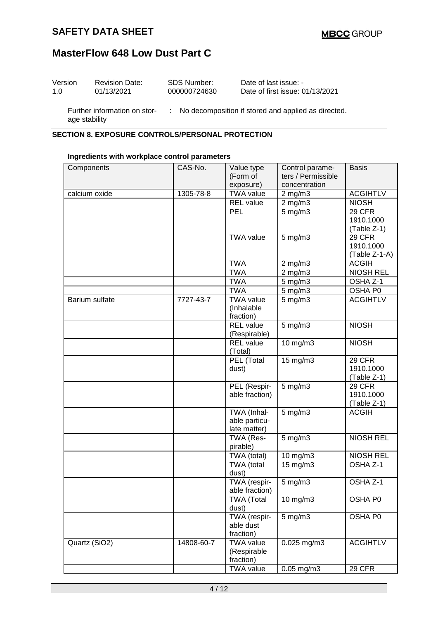### **SAFETY DATA SHEET**

## **MasterFlow 648 Low Dust Part C**

| Version | <b>Revision Date:</b> | SDS Number:  | Date of last issue: -           |
|---------|-----------------------|--------------|---------------------------------|
| 1.0     | 01/13/2021            | 000000724630 | Date of first issue: 01/13/2021 |
|         |                       |              |                                 |

age stability

Further information on stor-: No decomposition if stored and applied as directed.

### **SECTION 8. EXPOSURE CONTROLS/PERSONAL PROTECTION**

#### **Ingredients with workplace control parameters**

| Components     | CAS-No.    | Value type                                   | Control parame-    | <b>Basis</b>                              |
|----------------|------------|----------------------------------------------|--------------------|-------------------------------------------|
|                |            | (Form of                                     | ters / Permissible |                                           |
|                |            | exposure)                                    | concentration      |                                           |
| calcium oxide  | 1305-78-8  | <b>TWA value</b>                             | $2$ mg/m $3$       | <b>ACGIHTLV</b>                           |
|                |            | <b>REL</b> value                             | $2$ mg/m $3$       | <b>NIOSH</b>                              |
|                |            | <b>PEL</b>                                   | $5$ mg/m $3$       | 29 CFR                                    |
|                |            |                                              |                    | 1910.1000                                 |
|                |            |                                              |                    | (Table Z-1)                               |
|                |            | <b>TWA value</b>                             | $5$ mg/m $3$       | 29 CFR                                    |
|                |            |                                              |                    | 1910.1000                                 |
|                |            | <b>TWA</b>                                   | $2$ mg/m $3$       | (Table Z-1-A)<br><b>ACGIH</b>             |
|                |            | <b>TWA</b>                                   | $2$ mg/m $3$       | <b>NIOSH REL</b>                          |
|                |            | <b>TWA</b>                                   |                    |                                           |
|                |            | <b>TWA</b>                                   | 5 mg/m3<br>5 mg/m3 | OSHA Z-1<br>OSHA P0                       |
| Barium sulfate | 7727-43-7  | <b>TWA value</b>                             | $5$ mg/m $3$       | <b>ACGIHTLV</b>                           |
|                |            | (Inhalable<br>fraction)                      |                    |                                           |
|                |            | <b>REL</b> value<br>(Respirable)             | 5 mg/m3            | <b>NIOSH</b>                              |
|                |            | <b>REL</b> value<br>(Total)                  | 10 mg/m3           | <b>NIOSH</b>                              |
|                |            | PEL (Total<br>dust)                          | 15 mg/m3           | <b>29 CFR</b><br>1910.1000<br>(Table Z-1) |
|                |            | PEL (Respir-<br>able fraction)               | $5$ mg/m $3$       | 29 CFR<br>1910.1000<br>(Table Z-1)        |
|                |            | TWA (Inhal-<br>able particu-<br>late matter) | $5$ mg/m $3$       | <b>ACGIH</b>                              |
|                |            | TWA (Res-<br>pirable)                        | 5 mg/m3            | <b>NIOSH REL</b>                          |
|                |            | TWA (total)                                  | 10 mg/m3           | <b>NIOSH REL</b>                          |
|                |            | TWA (total<br>dust)                          | 15 mg/m3           | OSHA <sub>Z-1</sub>                       |
|                |            | TWA (respir-<br>able fraction)               | $5$ mg/m $3$       | OSHA <sub>Z-1</sub>                       |
|                |            | <b>TWA (Total</b><br>dust)                   | 10 mg/m3           | OSHA P0                                   |
|                |            | TWA (respir-<br>able dust<br>fraction)       | $5$ mg/m $3$       | OSHA P0                                   |
| Quartz (SiO2)  | 14808-60-7 | <b>TWA value</b><br>(Respirable<br>fraction) | 0.025 mg/m3        | <b>ACGIHTLV</b>                           |
|                |            | <b>TWA value</b>                             | 0.05 mg/m3         | <b>29 CFR</b>                             |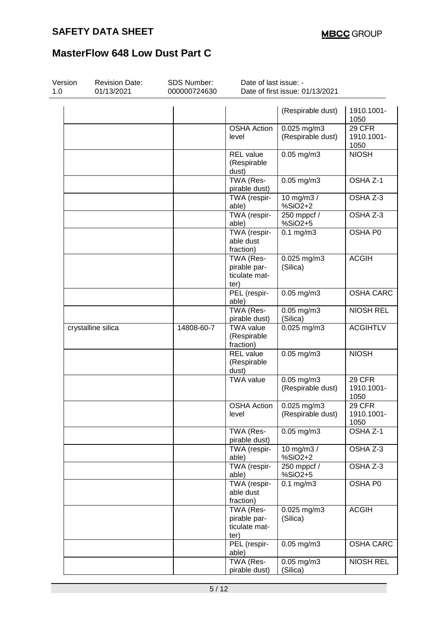| Version<br>1.0 | <b>Revision Date:</b><br>01/13/2021 | SDS Number:<br>000000724630 | Date of last issue: -                              | Date of first issue: 01/13/2021      |                                     |
|----------------|-------------------------------------|-----------------------------|----------------------------------------------------|--------------------------------------|-------------------------------------|
|                |                                     |                             |                                                    |                                      |                                     |
|                |                                     |                             |                                                    | (Respirable dust)                    | 1910.1001-<br>1050                  |
|                |                                     |                             | <b>OSHA Action</b><br>level                        | 0.025 mg/m3<br>(Respirable dust)     | 29 CFR<br>1910.1001-<br>1050        |
|                |                                     |                             | <b>REL</b> value<br>(Respirable<br>dust)           | $0.05$ mg/m3                         | <b>NIOSH</b>                        |
|                |                                     |                             | TWA (Res-<br>pirable dust)                         | $0.05$ mg/m $3$                      | OSHA Z-1                            |
|                |                                     |                             | TWA (respir-<br>able)                              | 10 mg/m3 /<br>%SiO2+2                | OSHA Z-3                            |
|                |                                     |                             | TWA (respir-<br>able)                              | 250 mppcf /<br>%SiO2+5               | OSHA Z-3                            |
|                |                                     |                             | TWA (respir-<br>able dust<br>fraction)             | $0.1$ mg/m $3$                       | OSHA P0                             |
|                |                                     |                             | TWA (Res-<br>pirable par-<br>ticulate mat-<br>ter) | $0.025$ mg/m3<br>(Silica)            | <b>ACGIH</b>                        |
|                |                                     |                             | PEL (respir-<br>able)                              | $0.05$ mg/m $3$                      | OSHA CARC                           |
|                |                                     |                             | TWA (Res-<br>pirable dust)                         | $0.05$ mg/m3<br>(Silica)             | <b>NIOSH REL</b>                    |
|                | crystalline silica                  | 14808-60-7                  | <b>TWA value</b><br>(Respirable<br>fraction)       | $0.025$ mg/m3                        | <b>ACGIHTLV</b>                     |
|                |                                     |                             | <b>REL</b> value<br>(Respirable<br>dust)           | $0.05$ mg/m $3$                      | <b>NIOSH</b>                        |
|                |                                     |                             | <b>TWA value</b>                                   | $0.05$ mg/m $3$<br>(Respirable dust) | 29 CFR<br>1910.1001-<br>1050        |
|                |                                     |                             | <b>OSHA Action</b><br>level                        | 0.025 mg/m3<br>(Respirable dust)     | <b>29 CFR</b><br>1910.1001-<br>1050 |
|                |                                     |                             | TWA (Res-<br>pirable dust)                         | $0.05$ mg/m $3$                      | OSHA Z-1                            |
|                |                                     |                             | TWA (respir-<br>able)                              | 10 mg/m3 /<br>%SiO2+2                | OSHA Z-3                            |
|                |                                     |                             | TWA (respir-<br>able)                              | $250$ mppcf $/$<br>%SiO2+5           | OSHA Z-3                            |
|                |                                     |                             | TWA (respir-<br>able dust<br>fraction)             | $0.1$ mg/m $3$                       | OSHA P0                             |
|                |                                     |                             | TWA (Res-<br>pirable par-<br>ticulate mat-<br>ter) | $0.025$ mg/m $3$<br>(Silica)         | <b>ACGIH</b>                        |
|                |                                     |                             | PEL (respir-<br>able)                              | $0.05$ mg/m $3$                      | <b>OSHA CARC</b>                    |
|                |                                     |                             | TWA (Res-<br>pirable dust)                         | $\overline{0.05}$ mg/m3<br>(Silica)  | <b>NIOSH REL</b>                    |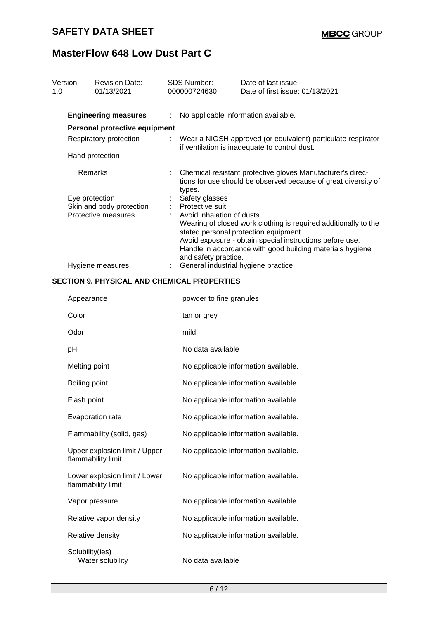| Version<br>1.0 | <b>Revision Date:</b><br>01/13/2021                     |    | <b>SDS Number:</b><br>000000724630                           | Date of last issue: -<br>Date of first issue: 01/13/2021                                                                                                                                                                          |  |  |
|----------------|---------------------------------------------------------|----|--------------------------------------------------------------|-----------------------------------------------------------------------------------------------------------------------------------------------------------------------------------------------------------------------------------|--|--|
|                |                                                         |    |                                                              |                                                                                                                                                                                                                                   |  |  |
|                | <b>Engineering measures</b>                             | ÷  |                                                              | No applicable information available.                                                                                                                                                                                              |  |  |
|                | Personal protective equipment<br>Respiratory protection |    | Wear a NIOSH approved (or equivalent) particulate respirator |                                                                                                                                                                                                                                   |  |  |
|                |                                                         |    |                                                              | if ventilation is inadequate to control dust.                                                                                                                                                                                     |  |  |
|                | Hand protection                                         |    |                                                              |                                                                                                                                                                                                                                   |  |  |
|                | Remarks                                                 |    | types.                                                       | Chemical resistant protective gloves Manufacturer's direc-<br>tions for use should be observed because of great diversity of                                                                                                      |  |  |
|                | Eye protection                                          |    | Safety glasses                                               |                                                                                                                                                                                                                                   |  |  |
|                | Skin and body protection<br>Protective measures         |    | Protective suit<br>Avoid inhalation of dusts.                |                                                                                                                                                                                                                                   |  |  |
|                |                                                         |    | and safety practice.                                         | Wearing of closed work clothing is required additionally to the<br>stated personal protection equipment.<br>Avoid exposure - obtain special instructions before use.<br>Handle in accordance with good building materials hygiene |  |  |
|                | Hygiene measures                                        | ÷. |                                                              | General industrial hygiene practice.                                                                                                                                                                                              |  |  |
|                | <b>SECTION 9. PHYSICAL AND CHEMICAL PROPERTIES</b>      |    |                                                              |                                                                                                                                                                                                                                   |  |  |
|                | Appearance                                              |    | powder to fine granules                                      |                                                                                                                                                                                                                                   |  |  |
|                | Color                                                   |    | tan or grey                                                  |                                                                                                                                                                                                                                   |  |  |
|                | Odor                                                    |    | mild                                                         |                                                                                                                                                                                                                                   |  |  |
|                | pH                                                      |    | No data available                                            |                                                                                                                                                                                                                                   |  |  |
|                | Melting point                                           |    |                                                              | No applicable information available.                                                                                                                                                                                              |  |  |
|                | Boiling point                                           |    |                                                              | No applicable information available.                                                                                                                                                                                              |  |  |
|                | Flash point                                             |    |                                                              | No applicable information available.                                                                                                                                                                                              |  |  |
|                | Evaporation rate                                        |    |                                                              | No applicable information available.                                                                                                                                                                                              |  |  |
|                | Flammability (solid, gas)                               |    |                                                              | No applicable information available.                                                                                                                                                                                              |  |  |
|                | Upper explosion limit / Upper<br>flammability limit     |    |                                                              | No applicable information available.                                                                                                                                                                                              |  |  |
|                | Lower explosion limit / Lower<br>flammability limit     |    |                                                              | No applicable information available.                                                                                                                                                                                              |  |  |
|                | Vapor pressure                                          |    |                                                              | No applicable information available.                                                                                                                                                                                              |  |  |
|                | Relative vapor density                                  |    |                                                              | No applicable information available.                                                                                                                                                                                              |  |  |
|                | Relative density                                        |    |                                                              | No applicable information available.                                                                                                                                                                                              |  |  |
|                | Solubility(ies)<br>Water solubility                     |    | No data available                                            |                                                                                                                                                                                                                                   |  |  |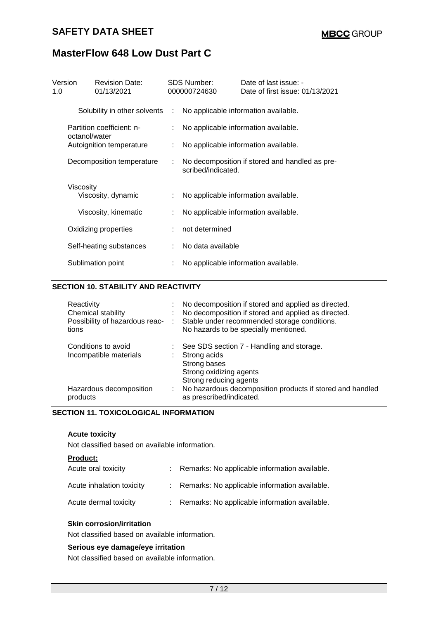| Version<br>1.0 | <b>Revision Date:</b><br>01/13/2021        |                                      | <b>SDS Number:</b><br>000000724630 | Date of last issue: -<br>Date of first issue: 01/13/2021 |  |  |  |
|----------------|--------------------------------------------|--------------------------------------|------------------------------------|----------------------------------------------------------|--|--|--|
|                | Solubility in other solvents               | ÷.                                   |                                    | No applicable information available.                     |  |  |  |
|                | Partition coefficient: n-<br>octanol/water |                                      |                                    | No applicable information available.                     |  |  |  |
|                | Autoignition temperature                   | No applicable information available. |                                    |                                                          |  |  |  |
|                | Decomposition temperature                  |                                      | scribed/indicated.                 | No decomposition if stored and handled as pre-           |  |  |  |
|                | Viscosity<br>Viscosity, dynamic            |                                      |                                    | No applicable information available.                     |  |  |  |
|                | Viscosity, kinematic                       |                                      |                                    | No applicable information available.                     |  |  |  |
|                | Oxidizing properties                       |                                      | not determined                     |                                                          |  |  |  |
|                | Self-heating substances                    |                                      | No data available                  |                                                          |  |  |  |
|                | Sublimation point                          |                                      |                                    | No applicable information available.                     |  |  |  |

### **SECTION 10. STABILITY AND REACTIVITY**

| Reactivity<br>Chemical stability<br>Possibility of hazardous reac-<br>tions | di l | No decomposition if stored and applied as directed.<br>No decomposition if stored and applied as directed.<br>Stable under recommended storage conditions.<br>No hazards to be specially mentioned. |
|-----------------------------------------------------------------------------|------|-----------------------------------------------------------------------------------------------------------------------------------------------------------------------------------------------------|
| Conditions to avoid<br>Incompatible materials                               | t.   | See SDS section 7 - Handling and storage.<br>Strong acids<br>Strong bases<br>Strong oxidizing agents<br>Strong reducing agents                                                                      |
| Hazardous decomposition<br>products                                         | ÷.   | No hazardous decomposition products if stored and handled<br>as prescribed/indicated.                                                                                                               |

### **SECTION 11. TOXICOLOGICAL INFORMATION**

#### **Acute toxicity**

Not classified based on available information.

| <b>Product:</b>           |                                                 |
|---------------------------|-------------------------------------------------|
| Acute oral toxicity       | : Remarks: No applicable information available. |
| Acute inhalation toxicity | : Remarks: No applicable information available. |
| Acute dermal toxicity     | : Remarks: No applicable information available. |

#### **Skin corrosion/irritation**

Not classified based on available information.

### **Serious eye damage/eye irritation**

Not classified based on available information.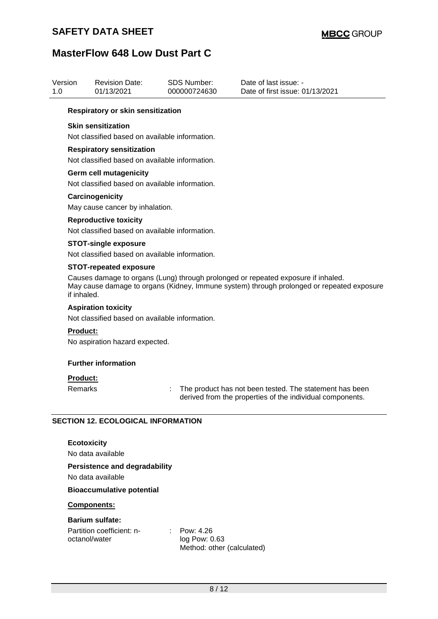## **SAFETY DATA SHEET**

| Version<br>1.0 |                                                                                                                                                                                                                                | <b>Revision Date:</b><br>01/13/2021                                            | <b>SDS Number:</b><br>000000724630                       | Date of last issue: -<br>Date of first issue: 01/13/2021                                                             |  |  |  |  |  |
|----------------|--------------------------------------------------------------------------------------------------------------------------------------------------------------------------------------------------------------------------------|--------------------------------------------------------------------------------|----------------------------------------------------------|----------------------------------------------------------------------------------------------------------------------|--|--|--|--|--|
|                | Respiratory or skin sensitization                                                                                                                                                                                              |                                                                                |                                                          |                                                                                                                      |  |  |  |  |  |
|                | <b>Skin sensitization</b><br>Not classified based on available information.                                                                                                                                                    |                                                                                |                                                          |                                                                                                                      |  |  |  |  |  |
|                | <b>Respiratory sensitization</b><br>Not classified based on available information.                                                                                                                                             |                                                                                |                                                          |                                                                                                                      |  |  |  |  |  |
|                | <b>Germ cell mutagenicity</b><br>Not classified based on available information.                                                                                                                                                |                                                                                |                                                          |                                                                                                                      |  |  |  |  |  |
|                | Carcinogenicity<br>May cause cancer by inhalation.                                                                                                                                                                             |                                                                                |                                                          |                                                                                                                      |  |  |  |  |  |
|                |                                                                                                                                                                                                                                | <b>Reproductive toxicity</b><br>Not classified based on available information. |                                                          |                                                                                                                      |  |  |  |  |  |
|                |                                                                                                                                                                                                                                | <b>STOT-single exposure</b><br>Not classified based on available information.  |                                                          |                                                                                                                      |  |  |  |  |  |
|                | <b>STOT-repeated exposure</b><br>Causes damage to organs (Lung) through prolonged or repeated exposure if inhaled.<br>May cause damage to organs (Kidney, Immune system) through prolonged or repeated exposure<br>if inhaled. |                                                                                |                                                          |                                                                                                                      |  |  |  |  |  |
|                |                                                                                                                                                                                                                                | <b>Aspiration toxicity</b><br>Not classified based on available information.   |                                                          |                                                                                                                      |  |  |  |  |  |
|                | Product:<br>No aspiration hazard expected.                                                                                                                                                                                     |                                                                                |                                                          |                                                                                                                      |  |  |  |  |  |
|                |                                                                                                                                                                                                                                | <b>Further information</b>                                                     |                                                          |                                                                                                                      |  |  |  |  |  |
|                | <b>Product:</b><br>Remarks                                                                                                                                                                                                     |                                                                                | t                                                        | The product has not been tested. The statement has been<br>derived from the properties of the individual components. |  |  |  |  |  |
|                |                                                                                                                                                                                                                                | <b>SECTION 12. ECOLOGICAL INFORMATION</b>                                      |                                                          |                                                                                                                      |  |  |  |  |  |
|                | <b>Ecotoxicity</b>                                                                                                                                                                                                             | No data available<br><b>Persistence and degradability</b>                      |                                                          |                                                                                                                      |  |  |  |  |  |
|                | No data available                                                                                                                                                                                                              |                                                                                |                                                          |                                                                                                                      |  |  |  |  |  |
|                | <b>Bioaccumulative potential</b>                                                                                                                                                                                               |                                                                                |                                                          |                                                                                                                      |  |  |  |  |  |
|                | Components:                                                                                                                                                                                                                    |                                                                                |                                                          |                                                                                                                      |  |  |  |  |  |
|                | octanol/water                                                                                                                                                                                                                  | <b>Barium sulfate:</b><br>Partition coefficient: n-                            | Pow: 4.26<br>log Pow: 0.63<br>Method: other (calculated) |                                                                                                                      |  |  |  |  |  |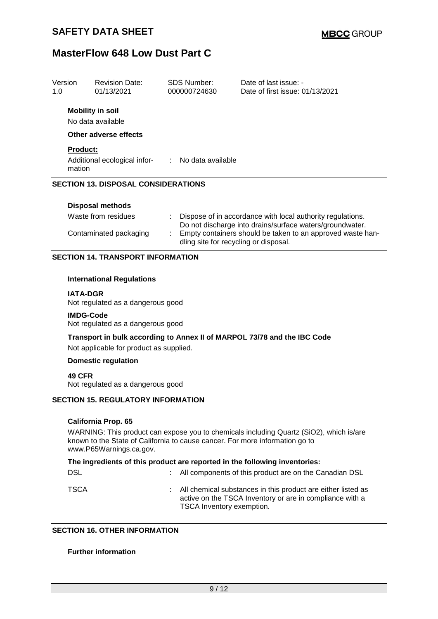| Version<br>1.0            | <b>Revision Date:</b><br>01/13/2021                                   | <b>SDS Number:</b><br>000000724630 | Date of last issue: -<br>Date of first issue: 01/13/2021 |  |
|---------------------------|-----------------------------------------------------------------------|------------------------------------|----------------------------------------------------------|--|
|                           | <b>Mobility in soil</b><br>No data available<br>Other adverse effects |                                    |                                                          |  |
| <b>Product:</b><br>mation | Additional ecological infor-                                          | : No data available                |                                                          |  |
|                           | <b>SECTION 13. DISPOSAL CONSIDERATIONS</b>                            |                                    |                                                          |  |
|                           | <b>Disposal methods</b>                                               |                                    |                                                          |  |

| Waste from residues    | : Dispose of in accordance with local authority regulations.<br>Do not discharge into drains/surface waters/groundwater. |
|------------------------|--------------------------------------------------------------------------------------------------------------------------|
| Contaminated packaging | Empty containers should be taken to an approved waste han-<br>dling site for recycling or disposal.                      |

### **SECTION 14. TRANSPORT INFORMATION**

#### **International Regulations**

#### **IATA-DGR**

Not regulated as a dangerous good

#### **IMDG-Code**

Not regulated as a dangerous good

# **Transport in bulk according to Annex II of MARPOL 73/78 and the IBC Code**

Not applicable for product as supplied.

### **Domestic regulation**

#### **49 CFR**

Not regulated as a dangerous good

### **SECTION 15. REGULATORY INFORMATION**

#### **California Prop. 65**

WARNING: This product can expose you to chemicals including Quartz (SiO2), which is/are known to the State of California to cause cancer. For more information go to www.P65Warnings.ca.gov.

| The ingredients of this product are reported in the following inventories: |  |
|----------------------------------------------------------------------------|--|
|----------------------------------------------------------------------------|--|

| <b>DSL</b> | : All components of this product are on the Canadian DSL                                                                                                |
|------------|---------------------------------------------------------------------------------------------------------------------------------------------------------|
| TSCA       | : All chemical substances in this product are either listed as<br>active on the TSCA Inventory or are in compliance with a<br>TSCA Inventory exemption. |

#### **SECTION 16. OTHER INFORMATION**

#### **Further information**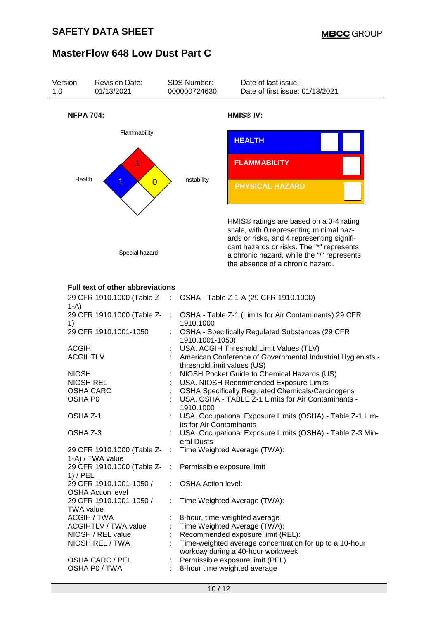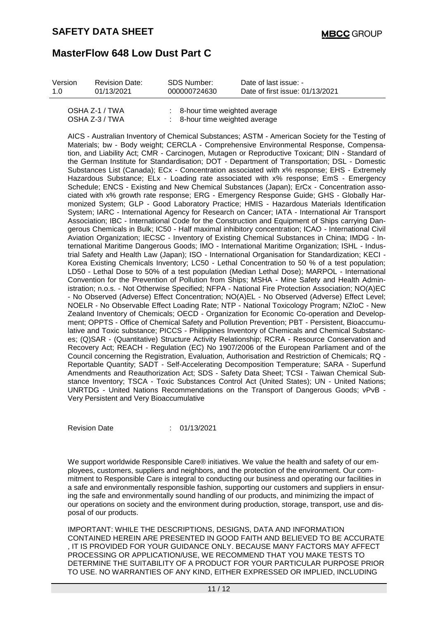| Version | <b>Revision Date:</b> | SDS Number:                               | Date of last issue: -           |
|---------|-----------------------|-------------------------------------------|---------------------------------|
| 1 O     | 01/13/2021            | 000000724630                              | Date of first issue: 01/13/2021 |
|         | OSHA Z-1 / TWA        | $\therefore$ 8-hour time weighted average |                                 |

OSHA Z-3 / TWA : 8-hour time weighted average

AICS - Australian Inventory of Chemical Substances; ASTM - American Society for the Testing of Materials; bw - Body weight; CERCLA - Comprehensive Environmental Response, Compensation, and Liability Act; CMR - Carcinogen, Mutagen or Reproductive Toxicant; DIN - Standard of the German Institute for Standardisation; DOT - Department of Transportation; DSL - Domestic Substances List (Canada); ECx - Concentration associated with x% response; EHS - Extremely Hazardous Substance; ELx - Loading rate associated with x% response; EmS - Emergency Schedule; ENCS - Existing and New Chemical Substances (Japan); ErCx - Concentration associated with x% growth rate response; ERG - Emergency Response Guide; GHS - Globally Harmonized System; GLP - Good Laboratory Practice; HMIS - Hazardous Materials Identification System; IARC - International Agency for Research on Cancer; IATA - International Air Transport Association; IBC - International Code for the Construction and Equipment of Ships carrying Dangerous Chemicals in Bulk; IC50 - Half maximal inhibitory concentration; ICAO - International Civil Aviation Organization; IECSC - Inventory of Existing Chemical Substances in China; IMDG - International Maritime Dangerous Goods; IMO - International Maritime Organization; ISHL - Industrial Safety and Health Law (Japan); ISO - International Organisation for Standardization; KECI - Korea Existing Chemicals Inventory; LC50 - Lethal Concentration to 50 % of a test population; LD50 - Lethal Dose to 50% of a test population (Median Lethal Dose); MARPOL - International Convention for the Prevention of Pollution from Ships; MSHA - Mine Safety and Health Administration; n.o.s. - Not Otherwise Specified; NFPA - National Fire Protection Association; NO(A)EC - No Observed (Adverse) Effect Concentration; NO(A)EL - No Observed (Adverse) Effect Level; NOELR - No Observable Effect Loading Rate; NTP - National Toxicology Program; NZIoC - New Zealand Inventory of Chemicals; OECD - Organization for Economic Co-operation and Development; OPPTS - Office of Chemical Safety and Pollution Prevention; PBT - Persistent, Bioaccumulative and Toxic substance; PICCS - Philippines Inventory of Chemicals and Chemical Substances; (Q)SAR - (Quantitative) Structure Activity Relationship; RCRA - Resource Conservation and Recovery Act; REACH - Regulation (EC) No 1907/2006 of the European Parliament and of the Council concerning the Registration, Evaluation, Authorisation and Restriction of Chemicals; RQ - Reportable Quantity; SADT - Self-Accelerating Decomposition Temperature; SARA - Superfund Amendments and Reauthorization Act; SDS - Safety Data Sheet; TCSI - Taiwan Chemical Substance Inventory; TSCA - Toxic Substances Control Act (United States); UN - United Nations; UNRTDG - United Nations Recommendations on the Transport of Dangerous Goods; vPvB - Very Persistent and Very Bioaccumulative

Revision Date : 01/13/2021

We support worldwide Responsible Care® initiatives. We value the health and safety of our employees, customers, suppliers and neighbors, and the protection of the environment. Our commitment to Responsible Care is integral to conducting our business and operating our facilities in a safe and environmentally responsible fashion, supporting our customers and suppliers in ensuring the safe and environmentally sound handling of our products, and minimizing the impact of our operations on society and the environment during production, storage, transport, use and disposal of our products.

IMPORTANT: WHILE THE DESCRIPTIONS, DESIGNS, DATA AND INFORMATION CONTAINED HEREIN ARE PRESENTED IN GOOD FAITH AND BELIEVED TO BE ACCURATE , IT IS PROVIDED FOR YOUR GUIDANCE ONLY. BECAUSE MANY FACTORS MAY AFFECT PROCESSING OR APPLICATION/USE, WE RECOMMEND THAT YOU MAKE TESTS TO DETERMINE THE SUITABILITY OF A PRODUCT FOR YOUR PARTICULAR PURPOSE PRIOR TO USE. NO WARRANTIES OF ANY KIND, EITHER EXPRESSED OR IMPLIED, INCLUDING